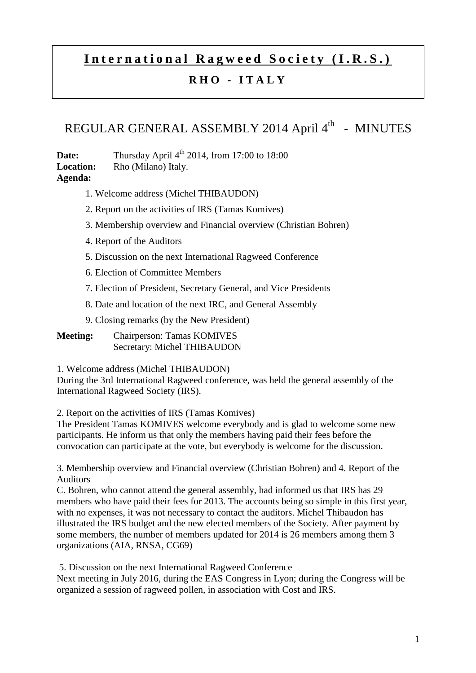## **International Ragweed Society (I.R.S.)**

## **R H O - I T A L Y**

## REGULAR GENERAL ASSEMBLY 2014 April 4<sup>th</sup> - MINUTES

**Date:** Thursday April 4<sup>th</sup> 2014, from 17:00 to 18:00 **Location:** Rho (Milano) Italy. **Agenda:** 

- 1. Welcome address (Michel THIBAUDON)
- 2. Report on the activities of IRS (Tamas Komives)
- 3. Membership overview and Financial overview (Christian Bohren)
- 4. Report of the Auditors
- 5. Discussion on the next International Ragweed Conference
- 6. Election of Committee Members
- 7. Election of President, Secretary General, and Vice Presidents
- 8. Date and location of the next IRC, and General Assembly
- 9. Closing remarks (by the New President)
- **Meeting:** Chairperson: Tamas KOMIVES Secretary: Michel THIBAUDON

1. Welcome address (Michel THIBAUDON)

During the 3rd International Ragweed conference, was held the general assembly of the International Ragweed Society (IRS).

2. Report on the activities of IRS (Tamas Komives)

The President Tamas KOMIVES welcome everybody and is glad to welcome some new participants. He inform us that only the members having paid their fees before the convocation can participate at the vote, but everybody is welcome for the discussion.

3. Membership overview and Financial overview (Christian Bohren) and 4. Report of the Auditors

C. Bohren, who cannot attend the general assembly, had informed us that IRS has 29 members who have paid their fees for 2013. The accounts being so simple in this first year, with no expenses, it was not necessary to contact the auditors. Michel Thibaudon has illustrated the IRS budget and the new elected members of the Society. After payment by some members, the number of members updated for 2014 is 26 members among them 3 organizations (AIA, RNSA, CG69)

5. Discussion on the next International Ragweed Conference

Next meeting in July 2016, during the EAS Congress in Lyon; during the Congress will be organized a session of ragweed pollen, in association with Cost and IRS.